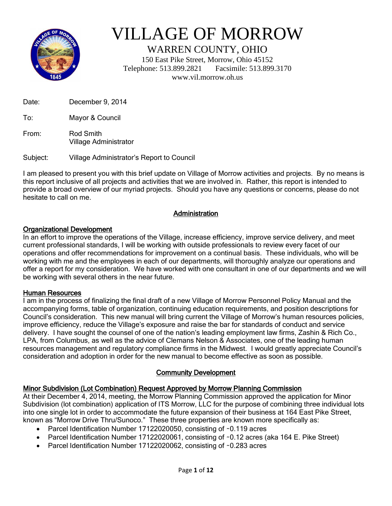

# VILLAGE OF MORROW

WARREN COUNTY, OHIO

150 East Pike Street, Morrow, Ohio 45152 Telephone: 513.899.2821 Facsimile: 513.899.3170 www.vil.morrow.oh.us

Date: December 9, 2014

To: Mayor & Council

From: Rod Smith Village Administrator

Subject: Village Administrator's Report to Council

I am pleased to present you with this brief update on Village of Morrow activities and projects. By no means is this report inclusive of all projects and activities that we are involved in. Rather, this report is intended to provide a broad overview of our myriad projects. Should you have any questions or concerns, please do not hesitate to call on me.

# **Administration**

#### Organizational Development

In an effort to improve the operations of the Village, increase efficiency, improve service delivery, and meet current professional standards, I will be working with outside professionals to review every facet of our operations and offer recommendations for improvement on a continual basis. These individuals, who will be working with me and the employees in each of our departments, will thoroughly analyze our operations and offer a report for my consideration. We have worked with one consultant in one of our departments and we will be working with several others in the near future.

#### Human Resources

I am in the process of finalizing the final draft of a new Village of Morrow Personnel Policy Manual and the accompanying forms, table of organization, continuing education requirements, and position descriptions for Council's consideration. This new manual will bring current the Village of Morrow's human resources policies, improve efficiency, reduce the Village's exposure and raise the bar for standards of conduct and service delivery. I have sought the counsel of one of the nation's leading employment law firms, Zashin & Rich Co., LPA, from Columbus, as well as the advice of Clemans Nelson & Associates, one of the leading human resources management and regulatory compliance firms in the Midwest. I would greatly appreciate Council's consideration and adoption in order for the new manual to become effective as soon as possible.

#### Community Development

#### Minor Subdivision (Lot Combination) Request Approved by Morrow Planning Commission

At their December 4, 2014, meeting, the Morrow Planning Commission approved the application for Minor Subdivision (lot combination) application of ITS Morrow, LLC for the purpose of combining three individual lots into one single lot in order to accommodate the future expansion of their business at 164 East Pike Street, known as "Morrow Drive Thru/Sunoco." These three properties are known more specifically as:

- Parcel Identification Number 17122020050, consisting of ~0.119 acres
- Parcel Identification Number 17122020061, consisting of ~0.12 acres (aka 164 E. Pike Street)
- Parcel Identification Number 17122020062, consisting of ~0.283 acres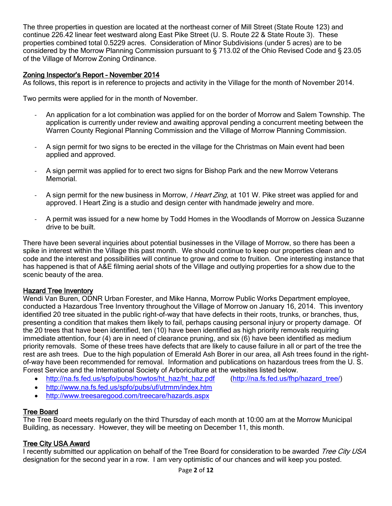The three properties in question are located at the northeast corner of Mill Street (State Route 123) and continue 226.42 linear feet westward along East Pike Street (U. S. Route 22 & State Route 3). These properties combined total 0.5229 acres. Consideration of Minor Subdivisions (under 5 acres) are to be considered by the Morrow Planning Commission pursuant to § 713.02 of the Ohio Revised Code and § 23.05 of the Village of Morrow Zoning Ordinance.

## Zoning Inspector's Report – November 2014

As follows, this report is in reference to projects and activity in the Village for the month of November 2014.

Two permits were applied for in the month of November.

- An application for a lot combination was applied for on the border of Morrow and Salem Township. The application is currently under review and awaiting approval pending a concurrent meeting between the Warren County Regional Planning Commission and the Village of Morrow Planning Commission.
- A sign permit for two signs to be erected in the village for the Christmas on Main event had been applied and approved.
- A sign permit was applied for to erect two signs for Bishop Park and the new Morrow Veterans Memorial.
- A sign permit for the new business in Morrow, *I Heart Zing*, at 101 W. Pike street was applied for and approved. I Heart Zing is a studio and design center with handmade jewelry and more.
- A permit was issued for a new home by Todd Homes in the Woodlands of Morrow on Jessica Suzanne drive to be built.

There have been several inquiries about potential businesses in the Village of Morrow, so there has been a spike in interest within the Village this past month. We should continue to keep our properties clean and to code and the interest and possibilities will continue to grow and come to fruition. One interesting instance that has happened is that of A&E filming aerial shots of the Village and outlying properties for a show due to the scenic beauty of the area.

#### Hazard Tree Inventory

Wendi Van Buren, ODNR Urban Forester, and Mike Hanna, Morrow Public Works Department employee, conducted a Hazardous Tree Inventory throughout the Village of Morrow on January 16, 2014. This inventory identified 20 tree situated in the public right-of-way that have defects in their roots, trunks, or branches, thus, presenting a condition that makes them likely to fail, perhaps causing personal injury or property damage. Of the 20 trees that have been identified, ten (10) have been identified as high priority removals requiring immediate attention, four (4) are in need of clearance pruning, and six (6) have been identified as medium priority removals. Some of these trees have defects that are likely to cause failure in all or part of the tree the rest are ash trees. Due to the high population of Emerald Ash Borer in our area, all Ash trees found in the rightof-way have been recommended for removal. Information and publications on hazardous trees from the U. S. Forest Service and the International Society of Arboriculture at the websites listed below.

- [http://na.fs.fed.us/spfo/pubs/howtos/ht\\_haz/ht\\_haz.pdf](http://na.fs.fed.us/spfo/pubs/howtos/ht_haz/ht_haz.pdf) [\(http://na.fs.fed.us/fhp/hazard\\_tree/\)](http://na.fs.fed.us/fhp/hazard_tree/)
	-
- <http://www.na.fs.fed.us/spfo/pubs/uf/utrmm/index.htm>
- <http://www.treesaregood.com/treecare/hazards.aspx>

# Tree Board

The Tree Board meets regularly on the third Thursday of each month at 10:00 am at the Morrow Municipal Building, as necessary. However, they will be meeting on December 11, this month.

# Tree City USA Award

I recently submitted our application on behalf of the Tree Board for consideration to be awarded Tree City USA designation for the second year in a row. I am very optimistic of our chances and will keep you posted.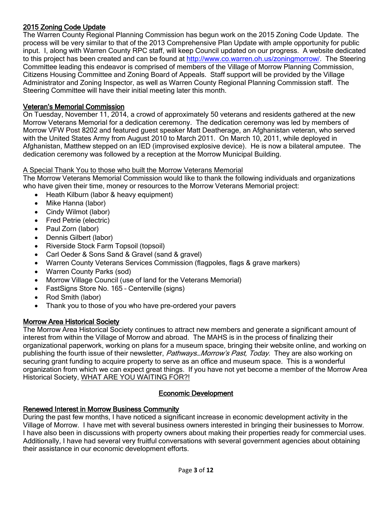# 2015 Zoning Code Update

The Warren County Regional Planning Commission has begun work on the 2015 Zoning Code Update. The process will be very similar to that of the 2013 Comprehensive Plan Update with ample opportunity for public input. I, along with Warren County RPC staff, will keep Council updated on our progress. A website dedicated to this project has been created and can be found at [http://www.co.warren.oh.us/zoningmorrow/.](http://www.co.warren.oh.us/zoningmorrow/) The Steering Committee leading this endeavor is comprised of members of the Village of Morrow Planning Commission, Citizens Housing Committee and Zoning Board of Appeals. Staff support will be provided by the Village Administrator and Zoning Inspector, as well as Warren County Regional Planning Commission staff. The Steering Committee will have their initial meeting later this month.

# Veteran's Memorial Commission

On Tuesday, November 11, 2014, a crowd of approximately 50 veterans and residents gathered at the new Morrow Veterans Memorial for a dedication ceremony. The dedication ceremony was led by members of Morrow VFW Post 8202 and featured guest speaker Matt Deatherage, an Afghanistan veteran, who served with the United States Army from August 2010 to March 2011. On March 10, 2011, while deployed in Afghanistan, Matthew stepped on an IED (improvised explosive device). He is now a bilateral amputee. The dedication ceremony was followed by a reception at the Morrow Municipal Building.

# A Special Thank You to those who built the Morrow Veterans Memorial

The Morrow Veterans Memorial Commission would like to thank the following individuals and organizations who have given their time, money or resources to the Morrow Veterans Memorial project:

- Heath Kilburn (labor & heavy equipment)
- Mike Hanna (labor)
- Cindy Wilmot (labor)
- Fred Petrie (electric)
- Paul Zorn (labor)
- Dennis Gilbert (labor)
- Riverside Stock Farm Topsoil (topsoil)
- Carl Oeder & Sons Sand & Gravel (sand & gravel)
- Warren County Veterans Services Commission (flagpoles, flags & grave markers)
- Warren County Parks (sod)
- Morrow Village Council (use of land for the Veterans Memorial)
- FastSigns Store No. 165 Centerville (signs)
- Rod Smith (labor)
- Thank you to those of you who have pre-ordered your pavers

# Morrow Area Historical Society

The Morrow Area Historical Society continues to attract new members and generate a significant amount of interest from within the Village of Morrow and abroad. The MAHS is in the process of finalizing their organizational paperwork, working on plans for a museum space, bringing their website online, and working on publishing the fourth issue of their newsletter, *Pathways...Morrow's Past, Today*. They are also working on securing grant funding to acquire property to serve as an office and museum space. This is a wonderful organization from which we can expect great things. If you have not yet become a member of the Morrow Area Historical Society, WHAT ARE YOU WAITING FOR?!

# Economic Development

# Renewed Interest in Morrow Business Community

During the past few months, I have noticed a significant increase in economic development activity in the Village of Morrow. I have met with several business owners interested in bringing their businesses to Morrow. I have also been in discussions with property owners about making their properties ready for commercial uses. Additionally, I have had several very fruitful conversations with several government agencies about obtaining their assistance in our economic development efforts.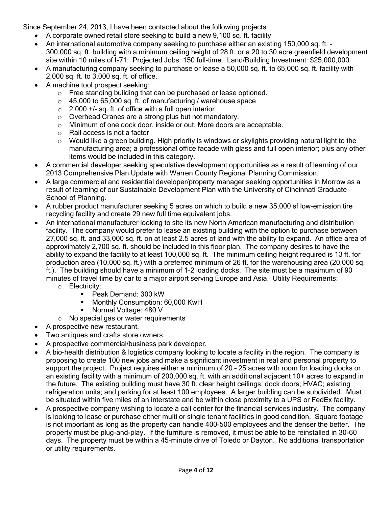Since September 24, 2013, I have been contacted about the following projects:

- A corporate owned retail store seeking to build a new 9,100 sq. ft. facility
- An international automotive company seeking to purchase either an existing 150,000 sq. ft. 300,000 sq. ft. building with a minimum ceiling height of 28 ft. or a 20 to 30 acre greenfield development site within 10 miles of I-71. Projected Jobs: 150 full-time. Land/Building Investment: \$25,000,000.
- A manufacturing company seeking to purchase or lease a 50,000 sq. ft. to 65,000 sq. ft. facility with 2,000 sq. ft. to 3,000 sq. ft. of office.
- A machine tool prospect seeking:
	- o Free standing building that can be purchased or lease optioned.
	- $\circ$  45,000 to 65,000 sq. ft. of manufacturing / warehouse space
	- $\circ$  2,000 +/- sq. ft. of office with a full open interior
	- o Overhead Cranes are a strong plus but not mandatory.
	- $\circ$  Minimum of one dock door, inside or out. More doors are acceptable.
	- o Rail access is not a factor
	- o Would like a green building. High priority is windows or skylights providing natural light to the manufacturing area; a professional office facade with glass and full open interior; plus any other items would be included in this category.
- A commercial developer seeking speculative development opportunities as a result of learning of our 2013 Comprehensive Plan Update with Warren County Regional Planning Commission.
- A large commercial and residential developer/property manager seeking opportunities in Morrow as a result of learning of our Sustainable Development Plan with the University of Cincinnati Graduate School of Planning.
- A rubber product manufacturer seeking 5 acres on which to build a new 35,000 sf low-emission tire recycling facility and create 29 new full time equivalent jobs.
- An international manufacturer looking to site its new North American manufacturing and distribution facility. The company would prefer to lease an existing building with the option to purchase between 27,000 sq. ft. and 33,000 sq. ft. on at least 2.5 acres of land with the ability to expand. An office area of approximately 2,700 sq. ft. should be included in this floor plan. The company desires to have the ability to expand the facility to at least 100,000 sq. ft. The minimum ceiling height required is 13 ft. for production area (10,000 sq. ft.) with a preferred minimum of 26 ft. for the warehousing area (20,000 sq. ft.). The building should have a minimum of 1-2 loading docks. The site must be a maximum of 90 minutes of travel time by car to a major airport serving Europe and Asia. Utility Requirements: o Electricity:
	- Peak Demand: 300 kW
	- Monthly Consumption: 60,000 KwH<br>■ Normal Voltage: 480 V
	- Normal Voltage: 480 V
	- o No special gas or water requirements
- A prospective new restaurant.
- Two antiques and crafts store owners.
- A prospective commercial/business park developer.
- A bio-health distribution & logistics company looking to locate a facility in the region. The company is proposing to create 100 new jobs and make a significant investment in real and personal property to support the project. Project requires either a minimum of 20 – 25 acres with room for loading docks or an existing facility with a minimum of 200,000 sq. ft. with an additional adjacent 10+ acres to expand in the future. The existing building must have 30 ft. clear height ceilings; dock doors; HVAC; existing refrigeration units; and parking for at least 100 employees. A larger building can be subdivided. Must be situated within five miles of an interstate and be within close proximity to a UPS or FedEx facility.
- A prospective company wishing to locate a call center for the financial services industry. The company is looking to lease or purchase either multi or single tenant facilities in good condition. Square footage is not important as long as the property can handle 400-500 employees and the denser the better. The property must be plug-and-play. If the furniture is removed, it must be able to be reinstalled in 30-60 days. The property must be within a 45-minute drive of Toledo or Dayton. No additional transportation or utility requirements.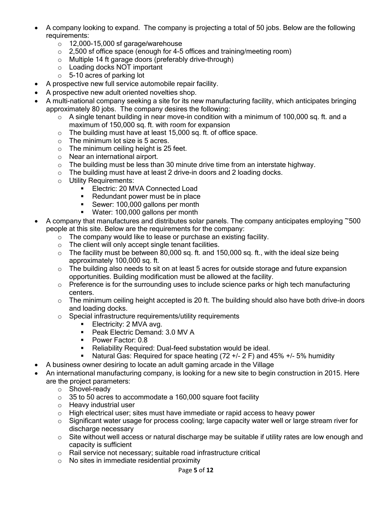- A company looking to expand. The company is projecting a total of 50 jobs. Below are the following requirements:
	- $\circ$  12,000-15,000 sf garage/warehouse
	- $\circ$  2,500 sf office space (enough for 4-5 offices and training/meeting room)
	- o Multiple 14 ft garage doors (preferably drive-through)
	- o Loading docks NOT important
	- o 5-10 acres of parking lot
- A prospective new full service automobile repair facility.
- A prospective new adult oriented novelties shop.
- A multi-national company seeking a site for its new manufacturing facility, which anticipates bringing approximately 80 jobs. The company desires the following:
	- o A single tenant building in near move-in condition with a minimum of 100,000 sq. ft. and a maximum of 150,000 sq. ft. with room for expansion
	- o The building must have at least 15,000 sq. ft. of office space.
	- $\circ$  The minimum lot size is 5 acres.
	- $\circ$  The minimum ceiling height is 25 feet.
	- o Near an international airport.
	- $\circ$  The building must be less than 30 minute drive time from an interstate highway.
	- o The building must have at least 2 drive-in doors and 2 loading docks.
	- o Utility Requirements:
		- **Electric: 20 MVA Connected Load**
		- Redundant power must be in place
		- Sewer: 100,000 gallons per month
		- **Water: 100,000 gallons per month**
- A company that manufactures and distributes solar panels. The company anticipates employing ~500 people at this site. Below are the requirements for the company:
	- $\circ$  The company would like to lease or purchase an existing facility.
	- o The client will only accept single tenant facilities.
	- $\circ$  The facility must be between 80,000 sq. ft. and 150,000 sq. ft., with the ideal size being approximately 100,000 sq. ft.
	- $\circ$  The building also needs to sit on at least 5 acres for outside storage and future expansion opportunities. Building modification must be allowed at the facility.
	- o Preference is for the surrounding uses to include science parks or high tech manufacturing centers.
	- $\circ$  The minimum ceiling height accepted is 20 ft. The building should also have both drive-in doors and loading docks.
	- o Special infrastructure requirements/utility requirements
		- **Electricity: 2 MVA avg.**
		- Peak Electric Demand: 3.0 MV A
		- Power Factor: 0.8
		- **Reliability Required: Dual-feed substation would be ideal.**
		- Natural Gas: Required for space heating  $(72 +1/2)$  F) and 45%  $+1/2$  5% humidity
	- A business owner desiring to locate an adult gaming arcade in the Village
- An international manufacturing company, is looking for a new site to begin construction in 2015. Here are the project parameters:
	- o Shovel-ready
	- $\circ$  35 to 50 acres to accommodate a 160,000 square foot facility
	- o Heavy industrial user
	- $\circ$  High electrical user; sites must have immediate or rapid access to heavy power
	- $\circ$  Significant water usage for process cooling; large capacity water well or large stream river for discharge necessary
	- $\circ$  Site without well access or natural discharge may be suitable if utility rates are low enough and capacity is sufficient
	- o Rail service not necessary; suitable road infrastructure critical
	- o No sites in immediate residential proximity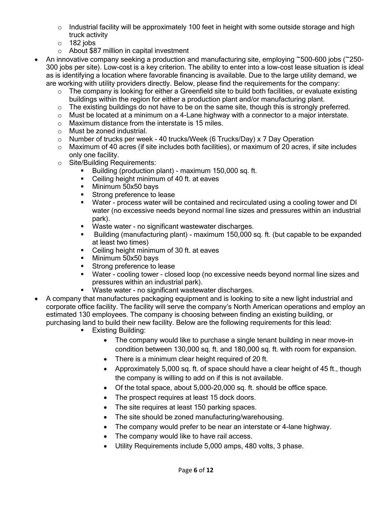- $\circ$  Industrial facility will be approximately 100 feet in height with some outside storage and high truck activity
- $\circ$  182 jobs
- o About \$87 million in capital investment
- An innovative company seeking a production and manufacturing site, employing ~500-600 jobs (~250- 300 jobs per site). Low-cost is a key criterion. The ability to enter into a low-cost lease situation is ideal as is identifying a location where favorable financing is available. Due to the large utility demand, we are working with utility providers directly. Below, please find the requirements for the company:
	- o The company is looking for either a Greenfield site to build both facilities, or evaluate existing buildings within the region for either a production plant and/or manufacturing plant.
	- $\circ$  The existing buildings do not have to be on the same site, though this is strongly preferred.
	- $\circ$  Must be located at a minimum on a 4-Lane highway with a connector to a major interstate.
	- o Maximum distance from the interstate is 15 miles.
	- o Must be zoned industrial.
	- $\circ$  Number of trucks per week 40 trucks/Week (6 Trucks/Day) x 7 Day Operation
	- $\circ$  Maximum of 40 acres (if site includes both facilities), or maximum of 20 acres, if site includes only one facility.
	- o Site/Building Requirements:
		- Building (production plant) maximum 150,000 sq. ft.
		- **•** Ceiling height minimum of 40 ft. at eaves
		- **Minimum 50x50 bays**
		- **Strong preference to lease**
		- Water process water will be contained and recirculated using a cooling tower and DI water (no excessive needs beyond normal line sizes and pressures within an industrial park).
		- Waste water no significant wastewater discharges.
		- Building (manufacturing plant) maximum 150,000 sq. ft. (but capable to be expanded at least two times)
		- **•** Ceiling height minimum of 30 ft. at eaves
		- **Minimum 50x50 bays**
		- **Strong preference to lease**
		- Water cooling tower closed loop (no excessive needs beyond normal line sizes and pressures within an industrial park).
		- Waste water no significant wastewater discharges.
- A company that manufactures packaging equipment and is looking to site a new light industrial and corporate office facility. The facility will serve the company's North American operations and employ an estimated 130 employees. The company is choosing between finding an existing building, or purchasing land to build their new facility. Below are the following requirements for this lead:
	- Existing Building:
		- The company would like to purchase a single tenant building in near move-in condition between 130,000 sq. ft. and 180,000 sq. ft. with room for expansion.
		- There is a minimum clear height required of 20 ft.
		- Approximately 5,000 sq. ft. of space should have a clear height of 45 ft., though the company is willing to add on if this is not available.
		- Of the total space, about 5,000-20,000 sq. ft. should be office space.
		- The prospect requires at least 15 dock doors.
		- The site requires at least 150 parking spaces.
		- The site should be zoned manufacturing/warehousing.
		- The company would prefer to be near an interstate or 4-lane highway.
		- The company would like to have rail access.
		- Utility Requirements include 5,000 amps, 480 volts, 3 phase.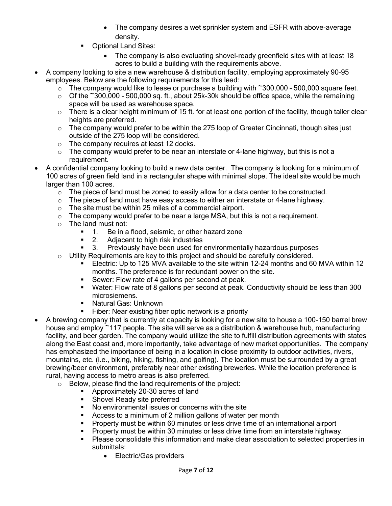- The company desires a wet sprinkler system and ESFR with above-average density.
- Optional Land Sites:
	- The company is also evaluating shovel-ready greenfield sites with at least 18 acres to build a building with the requirements above.
- A company looking to site a new warehouse & distribution facility, employing approximately 90-95 employees. Below are the following requirements for this lead:
	- $\circ$  The company would like to lease or purchase a building with ~300,000 500,000 square feet.
	- $\circ$  Of the  $\sim$ 300,000 500,000 sq. ft., about 25k-30k should be office space, while the remaining space will be used as warehouse space.
	- $\circ$  There is a clear height minimum of 15 ft. for at least one portion of the facility, though taller clear heights are preferred.
	- $\circ$  The company would prefer to be within the 275 loop of Greater Cincinnati, though sites just outside of the 275 loop will be considered.
	- o The company requires at least 12 docks.
	- $\circ$  The company would prefer to be near an interstate or 4-lane highway, but this is not a requirement.
- A confidential company looking to build a new data center. The company is looking for a minimum of 100 acres of green field land in a rectangular shape with minimal slope. The ideal site would be much larger than 100 acres.
	- $\circ$  The piece of land must be zoned to easily allow for a data center to be constructed.
	- o The piece of land must have easy access to either an interstate or 4-lane highway.
	- o The site must be within 25 miles of a commercial airport.
	- $\circ$  The company would prefer to be near a large MSA, but this is not a requirement.
	- o The land must not:
		- 1. Be in a flood, seismic, or other hazard zone
		- **2.** Adjacent to high risk industries
		- 3. Previously have been used for environmentally hazardous purposes
	- $\circ$  Utility Requirements are key to this project and should be carefully considered.
		- **Electric: Up to 125 MVA available to the site within 12-24 months and 60 MVA within 12** months. The preference is for redundant power on the site.
		- **Sewer: Flow rate of 4 gallons per second at peak.**
		- **Water: Flow rate of 8 gallons per second at peak. Conductivity should be less than 300** microsiemens.
		- **Natural Gas: Unknown**
		- Fiber: Near existing fiber optic network is a priority
- A brewing company that is currently at capacity is looking for a new site to house a 100-150 barrel brew house and employ ~117 people. The site will serve as a distribution & warehouse hub, manufacturing facility, and beer garden. The company would utilize the site to fulfill distribution agreements with states along the East coast and, more importantly, take advantage of new market opportunities. The company has emphasized the importance of being in a location in close proximity to outdoor activities, rivers, mountains, etc. (i.e., biking, hiking, fishing, and golfing). The location must be surrounded by a great brewing/beer environment, preferably near other existing breweries. While the location preference is rural, having access to metro areas is also preferred.
	- o Below, please find the land requirements of the project:
		- Approximately 20-30 acres of land
		- **Shovel Ready site preferred**
		- No environmental issues or concerns with the site
		- Access to a minimum of 2 million gallons of water per month
		- Property must be within 60 minutes or less drive time of an international airport
		- **Property must be within 30 minutes or less drive time from an interstate highway.**
		- **Please consolidate this information and make clear association to selected properties in** submittals:
			- Electric/Gas providers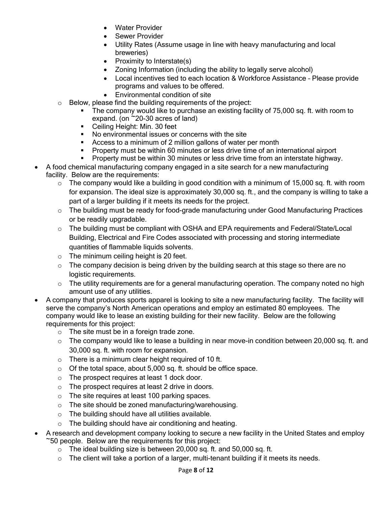- Water Provider
- Sewer Provider
- Utility Rates (Assume usage in line with heavy manufacturing and local breweries)
- $\bullet$  Proximity to Interstate(s)
- Zoning Information (including the ability to legally serve alcohol)
- Local incentives tied to each location & Workforce Assistance Please provide programs and values to be offered.
- Environmental condition of site
- o Below, please find the building requirements of the project:
	- The company would like to purchase an existing facility of 75,000 sq. ft. with room to expand. (on  $\sim$  20-30 acres of land)
	- Ceiling Height: Min. 30 feet
	- No environmental issues or concerns with the site
	- Access to a minimum of 2 million gallons of water per month
	- **Property must be within 60 minutes or less drive time of an international airport**
	- **Property must be within 30 minutes or less drive time from an interstate highway.**
- A food chemical manufacturing company engaged in a site search for a new manufacturing
- facility. Below are the requirements:
	- $\circ$  The company would like a building in good condition with a minimum of 15,000 sq. ft. with room for expansion. The ideal size is approximately 30,000 sq. ft., and the company is willing to take a part of a larger building if it meets its needs for the project.
	- $\circ$  The building must be ready for food-grade manufacturing under Good Manufacturing Practices or be readily upgradable.
	- o The building must be compliant with OSHA and EPA requirements and Federal/State/Local Building, Electrical and Fire Codes associated with processing and storing intermediate quantities of flammable liquids solvents.
	- $\circ$  The minimum ceiling height is 20 feet.
	- $\circ$  The company decision is being driven by the building search at this stage so there are no logistic requirements.
	- o The utility requirements are for a general manufacturing operation. The company noted no high amount use of any utilities.
- A company that produces sports apparel is looking to site a new manufacturing facility. The facility will serve the company's North American operations and employ an estimated 80 employees. The company would like to lease an existing building for their new facility. Below are the following requirements for this project:
	- o The site must be in a foreign trade zone.
	- $\circ$  The company would like to lease a building in near move-in condition between 20,000 sq. ft. and 30,000 sq. ft. with room for expansion.
	- $\circ$  There is a minimum clear height required of 10 ft.
	- o Of the total space, about 5,000 sq. ft. should be office space.
	- o The prospect requires at least 1 dock door.
	- o The prospect requires at least 2 drive in doors.
	- o The site requires at least 100 parking spaces.
	- o The site should be zoned manufacturing/warehousing.
	- o The building should have all utilities available.
	- $\circ$  The building should have air conditioning and heating.
- A research and development company looking to secure a new facility in the United States and employ ~50 people. Below are the requirements for this project:
	- $\circ$  The ideal building size is between 20,000 sq. ft. and 50,000 sq. ft.
	- $\circ$  The client will take a portion of a larger, multi-tenant building if it meets its needs.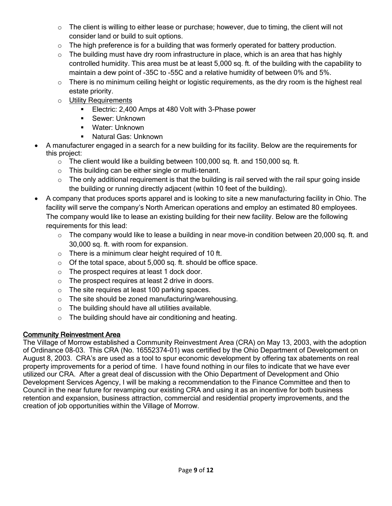- $\circ$  The client is willing to either lease or purchase; however, due to timing, the client will not consider land or build to suit options.
- $\circ$  The high preference is for a building that was formerly operated for battery production.
- $\circ$  The building must have dry room infrastructure in place, which is an area that has highly controlled humidity. This area must be at least 5,000 sq. ft. of the building with the capability to maintain a dew point of -35C to -55C and a relative humidity of between 0% and 5%.
- $\circ$  There is no minimum ceiling height or logistic requirements, as the dry room is the highest real estate priority.
- o Utility Requirements
	- **Electric: 2,400 Amps at 480 Volt with 3-Phase power**
	- **Sewer: Unknown**
	- Water: Unknown
	- Natural Gas: Unknown
- A manufacturer engaged in a search for a new building for its facility. Below are the requirements for this project:
	- o The client would like a building between 100,000 sq. ft. and 150,000 sq. ft.
	- o This building can be either single or multi-tenant.
	- $\circ$  The only additional requirement is that the building is rail served with the rail spur going inside the building or running directly adjacent (within 10 feet of the building).
- A company that produces sports apparel and is looking to site a new manufacturing facility in Ohio. The facility will serve the company's North American operations and employ an estimated 80 employees. The company would like to lease an existing building for their new facility. Below are the following requirements for this lead:
	- o The company would like to lease a building in near move-in condition between 20,000 sq. ft. and 30,000 sq. ft. with room for expansion.
	- $\circ$  There is a minimum clear height required of 10 ft.
	- $\circ$  Of the total space, about 5,000 sq. ft. should be office space.
	- o The prospect requires at least 1 dock door.
	- o The prospect requires at least 2 drive in doors.
	- o The site requires at least 100 parking spaces.
	- o The site should be zoned manufacturing/warehousing.
	- o The building should have all utilities available.
	- $\circ$  The building should have air conditioning and heating.

# Community Reinvestment Area

The Village of Morrow established a Community Reinvestment Area (CRA) on May 13, 2003, with the adoption of Ordinance 08-03. This CRA (No. 16552374-01) was certified by the Ohio Department of Development on August 8, 2003. CRA's are used as a tool to spur economic development by offering tax abatements on real property improvements for a period of time. I have found nothing in our files to indicate that we have ever utilized our CRA. After a great deal of discussion with the Ohio Department of Development and Ohio Development Services Agency, I will be making a recommendation to the Finance Committee and then to Council in the near future for revamping our existing CRA and using it as an incentive for both business retention and expansion, business attraction, commercial and residential property improvements, and the creation of job opportunities within the Village of Morrow.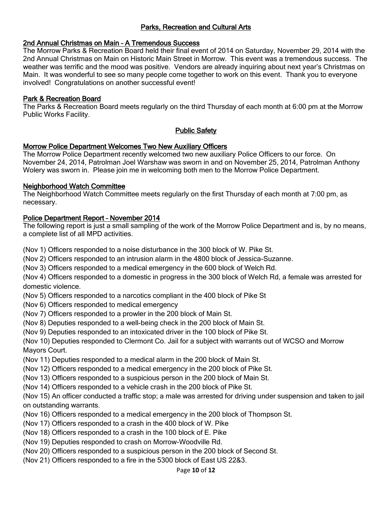# Parks, Recreation and Cultural Arts

## 2nd Annual Christmas on Main – A Tremendous Success

The Morrow Parks & Recreation Board held their final event of 2014 on Saturday, November 29, 2014 with the 2nd Annual Christmas on Main on Historic Main Street in Morrow. This event was a tremendous success. The weather was terrific and the mood was positive. Vendors are already inquiring about next year's Christmas on Main. It was wonderful to see so many people come together to work on this event. Thank you to everyone involved! Congratulations on another successful event!

#### Park & Recreation Board

The Parks & Recreation Board meets regularly on the third Thursday of each month at 6:00 pm at the Morrow Public Works Facility.

# Public Safety

## Morrow Police Department Welcomes Two New Auxiliary Officers

The Morrow Police Department recently welcomed two new auxiliary Police Officers to our force. On November 24, 2014, Patrolman Joel Warshaw was sworn in and on November 25, 2014, Patrolman Anthony Wolery was sworn in. Please join me in welcoming both men to the Morrow Police Department.

#### Neighborhood Watch Committee

The Neighborhood Watch Committee meets regularly on the first Thursday of each month at 7:00 pm, as necessary.

# Police Department Report – November 2014

The following report is just a small sampling of the work of the Morrow Police Department and is, by no means, a complete list of all MPD activities.

(Nov 1) Officers responded to a noise disturbance in the 300 block of W. Pike St.

(Nov 2) Officers responded to an intrusion alarm in the 4800 block of Jessica-Suzanne.

(Nov 3) Officers responded to a medical emergency in the 600 block of Welch Rd.

(Nov 4) Officers responded to a domestic in progress in the 300 block of Welch Rd, a female was arrested for domestic violence.

(Nov 5) Officers responded to a narcotics compliant in the 400 block of Pike St

(Nov 6) Officers responded to medical emergency

(Nov 7) Officers responded to a prowler in the 200 block of Main St.

(Nov 8) Deputies responded to a well-being check in the 200 block of Main St.

(Nov 9) Deputies responded to an intoxicated driver in the 100 block of Pike St.

(Nov 10) Deputies responded to Clermont Co. Jail for a subject with warrants out of WCSO and Morrow Mayors Court.

(Nov 11) Deputies responded to a medical alarm in the 200 block of Main St.

(Nov 12) Officers responded to a medical emergency in the 200 block of Pike St.

(Nov 13) Officers responded to a suspicious person in the 200 block of Main St.

(Nov 14) Officers responded to a vehicle crash in the 200 block of Pike St.

(Nov 15) An officer conducted a traffic stop; a male was arrested for driving under suspension and taken to jail on outstanding warrants.

(Nov 16) Officers responded to a medical emergency in the 200 block of Thompson St.

(Nov 17) Officers responded to a crash in the 400 block of W. Pike

(Nov 18) Officers responded to a crash in the 100 block of E. Pike

(Nov 19) Deputies responded to crash on Morrow-Woodville Rd.

(Nov 20) Officers responded to a suspicious person in the 200 block of Second St.

(Nov 21) Officers responded to a fire in the 5300 block of East US 22&3.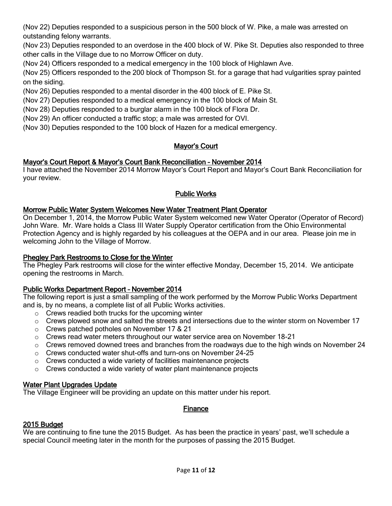(Nov 22) Deputies responded to a suspicious person in the 500 block of W. Pike, a male was arrested on outstanding felony warrants.

(Nov 23) Deputies responded to an overdose in the 400 block of W. Pike St. Deputies also responded to three other calls in the Village due to no Morrow Officer on duty.

(Nov 24) Officers responded to a medical emergency in the 100 block of Highlawn Ave.

(Nov 25) Officers responded to the 200 block of Thompson St. for a garage that had vulgarities spray painted on the siding.

(Nov 26) Deputies responded to a mental disorder in the 400 block of E. Pike St.

(Nov 27) Deputies responded to a medical emergency in the 100 block of Main St.

(Nov 28) Deputies responded to a burglar alarm in the 100 block of Flora Dr.

(Nov 29) An officer conducted a traffic stop; a male was arrested for OVI.

(Nov 30) Deputies responded to the 100 block of Hazen for a medical emergency.

# Mayor's Court

# Mayor's Court Report & Mayor's Court Bank Reconciliation – November 2014

I have attached the November 2014 Morrow Mayor's Court Report and Mayor's Court Bank Reconciliation for your review.

# Public Works

## Morrow Public Water System Welcomes New Water Treatment Plant Operator

On December 1, 2014, the Morrow Public Water System welcomed new Water Operator (Operator of Record) John Ware. Mr. Ware holds a Class III Water Supply Operator certification from the Ohio Environmental Protection Agency and is highly regarded by his colleagues at the OEPA and in our area. Please join me in welcoming John to the Village of Morrow.

## Phegley Park Restrooms to Close for the Winter

The Phegley Park restrooms will close for the winter effective Monday, December 15, 2014. We anticipate opening the restrooms in March.

# Public Works Department Report – November 2014

The following report is just a small sampling of the work performed by the Morrow Public Works Department and is, by no means, a complete list of all Public Works activities.

- o Crews readied both trucks for the upcoming winter
- $\circ$  Crews plowed snow and salted the streets and intersections due to the winter storm on November 17
- o Crews patched potholes on November 17 & 21
- $\circ$  Crews read water meters throughout our water service area on November 18-21
- o Crews removed downed trees and branches from the roadways due to the high winds on November 24
- o Crews conducted water shut-offs and turn-ons on November 24-25
- o Crews conducted a wide variety of facilities maintenance projects
- o Crews conducted a wide variety of water plant maintenance projects

# Water Plant Upgrades Update

The Village Engineer will be providing an update on this matter under his report.

# Finance

# 2015 Budget

We are continuing to fine tune the 2015 Budget. As has been the practice in years' past, we'll schedule a special Council meeting later in the month for the purposes of passing the 2015 Budget.